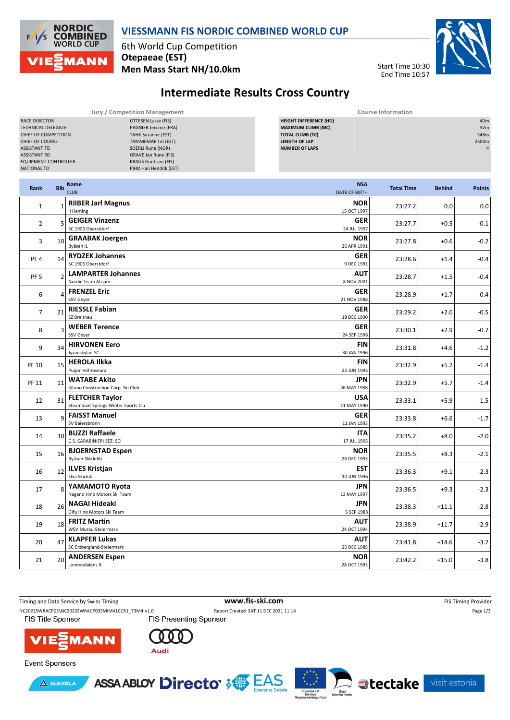

## **VIESSMANN FIS NORDIC COMBINED WORLD CUP**

6th World Cup Competition **Otepaeae (EST) Men Mass Start NH/10.0km**



## **Intermediate Results Cross Country**

| Jury / Competition Management |                            | <b>Course Information</b>     |                 |  |  |  |
|-------------------------------|----------------------------|-------------------------------|-----------------|--|--|--|
| RACE DIRECTOR                 | OTTESEN Lasse (FIS)        | <b>HEIGHT DIFFERENCE (HD)</b> | 40 <sub>m</sub> |  |  |  |
| <b>TECHNICAL DELEGATE</b>     | PAGNIER Jerome (FRA)       | <b>MAXIMUM CLIMB (MC)</b>     | 32m             |  |  |  |
| CHIEF OF COMPETITION          | <b>TAHK Suzanne (EST)</b>  | <b>TOTAL CLIMB (TC)</b>       | 348m            |  |  |  |
| <b>CHIEF OF COURSE</b>        | <b>TAMMEMAE Tiit (EST)</b> | <b>LENGTH OF LAP</b>          | 2500m           |  |  |  |
| <b>ASSISTANT TD</b>           | SOERLI Rune (NOR)          | <b>NUMBER OF LAPS</b>         |                 |  |  |  |
| <b>ASSISTANT RD</b>           | GRAVE Jan Rune (FIS)       |                               |                 |  |  |  |
| <b>EQUIPMENT CONTROLLER</b>   | <b>KRAUS Guntram (FIS)</b> |                               |                 |  |  |  |
| NATIONAL TD                   | PIHO Han Hendrik (EST)     |                               |                 |  |  |  |
|                               |                            |                               |                 |  |  |  |

| Rank            | <b>Bib</b>     | <b>Name</b><br><b>NSA</b><br><b>CLUB</b><br><b>DATE OF BIRTH</b>                       | <b>Total Time</b> | <b>Behind</b> | <b>Points</b> |
|-----------------|----------------|----------------------------------------------------------------------------------------|-------------------|---------------|---------------|
| $\mathbf{1}$    | $\overline{1}$ | <b>RIIBER Jarl Magnus</b><br><b>NOR</b><br>15 OCT 1997<br>Il Heming                    | 23:27.2           | 0.0           | 0.0           |
| $\overline{2}$  | 5              | <b>GEIGER Vinzenz</b><br><b>GER</b><br>SC 1906 Oberstdorf<br>24 JUL 1997               | 23:27.7           | $+0.5$        | $-0.1$        |
| 3               | 10             | <b>NOR</b><br><b>GRAABAK Joergen</b><br>Byåsen IL<br>26 APR 1991                       | 23:27.8           | $+0.6$        | $-0.2$        |
| PF4             | 14             | <b>RYDZEK Johannes</b><br><b>GER</b><br>SC 1906 Oberstdorf<br>9 DEC 1991               | 23:28.6           | $+1.4$        | $-0.4$        |
| PF <sub>5</sub> | $\overline{a}$ | <b>LAMPARTER Johannes</b><br><b>AUT</b><br>Nordic Team Absam<br>8 NOV 2001             | 23:28.7           | $+1.5$        | $-0.4$        |
| 6               | $\overline{a}$ | <b>FRENZEL Eric</b><br>GER<br>SSV Geyer<br>21 NOV 1988                                 | 23:28.9           | $+1.7$        | $-0.4$        |
| $\overline{7}$  | 21             | <b>RIESSLE Fabian</b><br><b>GER</b><br>SZ Breitnau<br>18 DEC 1990                      | 23:29.2           | $+2.0$        | $-0.5$        |
| 8               | p              | <b>GER</b><br><b>WEBER Terence</b><br>SSV Geyer<br>24 SEP 1996                         | 23:30.1           | $+2.9$        | $-0.7$        |
| 9               | 34             | <b>HIRVONEN Eero</b><br><b>FIN</b><br>Jyvaeskylae SC<br>30 JAN 1996                    | 23:31.8           | $+4.6$        | $-1.2$        |
| PF 10           | 15             | <b>HEROLA Ilkka</b><br><b>FIN</b><br>Puijon Hijhtoseura<br>22 JUN 1995                 | 23:32.9           | $+5.7$        | $-1.4$        |
| PF 11           | 11             | <b>WATABE Akito</b><br><b>JPN</b><br>Kitano Construction Corp. Ski Club<br>26 MAY 1988 | 23:32.9           | $+5.7$        | $-1.4$        |
| 12              | 31             | USA<br><b>FLETCHER Taylor</b><br>Steamboat Springs Winter Sports Clu<br>11 MAY 1990    | 23:33.1           | $+5.9$        | $-1.5$        |
| 13              | q              | <b>GER</b><br><b>FAISST Manuel</b><br>SV Baiersbronn<br>11 JAN 1993                    | 23:33.8           | $+6.6$        | $-1.7$        |
| 14              | 30             | <b>BUZZI Raffaele</b><br><b>ITA</b><br>C.S. CARABINIERI SEZ. SCI<br>17 JUL 1995        | 23:35.2           | $+8.0$        | $-2.0$        |
| 15              | 16             | <b>BJOERNSTAD Espen</b><br><b>NOR</b><br>Byåsen Skiklubb<br>26 DEC 1993                | 23:35.5           | $+8.3$        | $-2.1$        |
| 16              | 12             | <b>ILVES Kristjan</b><br><b>EST</b><br>Elva Skiclub<br>10 JUN 1996                     | 23:36.3           | $+9.1$        | $-2.3$        |
| 17              | 8              | YAMAMOTO Ryota<br><b>JPN</b><br>Nagano Hino Motors Ski Team<br>13 MAY 1997             | 23:36.5           | $+9.3$        | $-2.3$        |
| 18              | 26             | <b>NAGAI Hideaki</b><br><b>JPN</b><br>Gifu Hino Motors Ski Team<br>5 SEP 1983          | 23:38.3           | $+11.1$       | $-2.8$        |
| 19              | 18             | <b>FRITZ Martin</b><br><b>AUT</b><br>WSV Murau-Steiermark<br>24 OCT 1994               | 23:38.9           | $+11.7$       | $-2.9$        |
| 20              | 47             | <b>AUT</b><br><b>KLAPFER Lukas</b><br>SC Erzbergland-Steiermark<br>25 DEC 1985         | 23:41.8           | $+14.6$       | $-3.7$        |
| 21              | 20             | <b>ANDERSEN Espen</b><br><b>NOR</b><br>Lommedalens IL<br>28 OCT 1993                   | 23:42.2           | $+15.0$       | $-3.8$        |

Timing and Data Service by Swiss Timing **WWW.fis-ski.com www.fis-ski.com** FIS Timing Provider NC2022SWRACP03\NC2022SWRACP03SMIM41CCR1\_73M4 v1.0 Report Created SAT 11 DEC 2021 11:14 Page 1/3<br>FIS Title Sponsor FIS Presenting Sponsor FIS Title Sponsor **VIE MANN** 



**Event Sponsors** 





visit estonia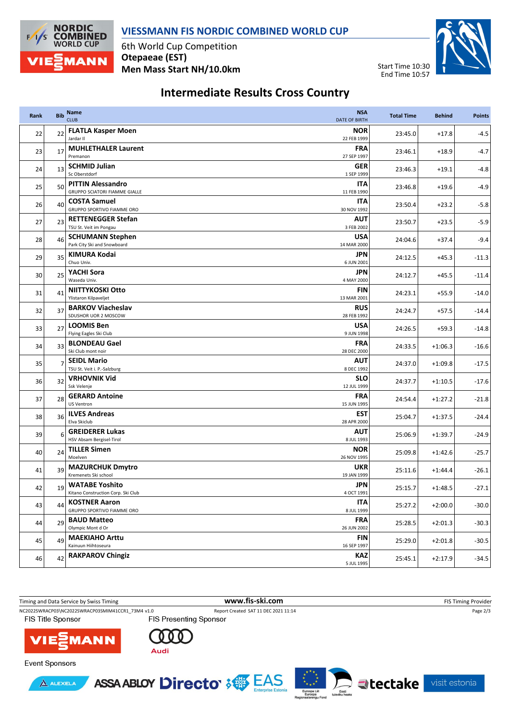

6th World Cup Competition **Otepaeae (EST) Men Mass Start NH/10.0km**

**NORDIC<br>COMBINED**<br>WORLD CUP

**MANN** 

 $F/1/S$ 



## **Intermediate Results Cross Country**

| Rank | <b>Bib</b> | Name<br><b>CLUB</b><br><b>DATE OF BIRTH</b>                               | <b>NSA</b> | <b>Total Time</b> | <b>Behind</b> | <b>Points</b> |
|------|------------|---------------------------------------------------------------------------|------------|-------------------|---------------|---------------|
| 22   | 22         | <b>FLATLA Kasper Moen</b><br>Jardar II<br>22 FEB 1999                     | <b>NOR</b> | 23:45.0           | $+17.8$       | $-4.5$        |
| 23   | 17         | <b>MUHLETHALER Laurent</b><br>Premanon<br>27 SEP 1997                     | <b>FRA</b> | 23:46.1           | $+18.9$       | $-4.7$        |
| 24   | 13         | <b>SCHMID Julian</b><br>Sc Oberstdorf<br>1 SEP 1999                       | <b>GER</b> | 23:46.3           | $+19.1$       | $-4.8$        |
| 25   | 50         | <b>PITTIN Alessandro</b><br>GRUPPO SCIATORI FIAMME GIALLE<br>11 FEB 1990  | ITA        | 23:46.8           | $+19.6$       | $-4.9$        |
| 26   | 40         | <b>COSTA Samuel</b><br><b>GRUPPO SPORTIVO FIAMME ORO</b><br>30 NOV 1992   | ITA        | 23:50.4           | $+23.2$       | $-5.8$        |
| 27   | 23         | <b>RETTENEGGER Stefan</b><br>TSU St. Veit im Pongau<br>3 FEB 2002         | AUT        | 23:50.7           | $+23.5$       | $-5.9$        |
| 28   | 46         | <b>SCHUMANN Stephen</b><br>Park City Ski and Snowboard<br>14 MAR 2000     | <b>USA</b> | 24:04.6           | $+37.4$       | $-9.4$        |
| 29   | 35         | KIMURA Kodai<br>Chuo Univ.<br>6 JUN 2001                                  | JPN        | 24:12.5           | $+45.3$       | $-11.3$       |
| 30   | 25         | YACHI Sora<br>Waseda Univ.<br>4 MAY 2000                                  | JPN        | 24:12.7           | $+45.5$       | $-11.4$       |
| 31   | 41         | NIITTYKOSKI Otto<br>Ylistaron Kilpaveljet<br>13 MAR 2001                  | FIN        | 24:23.1           | $+55.9$       | $-14.0$       |
| 32   | 37         | <b>BARKOV Viacheslav</b><br>SDUSHOR UOR 2 MOSCOW<br>28 FEB 1992           | <b>RUS</b> | 24:24.7           | $+57.5$       | $-14.4$       |
| 33   | 27         | <b>LOOMIS Ben</b><br>Flying Eagles Ski Club<br>9 JUN 1998                 | <b>USA</b> | 24:26.5           | $+59.3$       | $-14.8$       |
| 34   | 33         | <b>BLONDEAU Gael</b><br>Ski Club mont noir<br>28 DEC 2000                 | <b>FRA</b> | 24:33.5           | $+1:06.3$     | $-16.6$       |
| 35   | 7          | <b>SEIDL Mario</b><br>TSU St. Veit i. P.-Salzburg<br>8 DEC 1992           | AUT        | 24:37.0           | $+1:09.8$     | $-17.5$       |
| 36   | 32         | <b>VRHOVNIK Vid</b><br>Ssk Velenje<br>12 JUL 1999                         | <b>SLO</b> | 24:37.7           | $+1:10.5$     | $-17.6$       |
| 37   | 28         | <b>GERARD Antoine</b><br><b>US Ventron</b><br>15 JUN 1995                 | <b>FRA</b> | 24:54.4           | $+1:27.2$     | $-21.8$       |
| 38   | 36         | <b>ILVES Andreas</b><br>Elva Skiclub<br>28 APR 2000                       | <b>EST</b> | 25:04.7           | $+1:37.5$     | $-24.4$       |
| 39   | 6          | <b>GREIDERER Lukas</b><br>HSV Absam Bergisel-Tirol<br>8 JUL 1993          | <b>AUT</b> | 25:06.9           | $+1:39.7$     | $-24.9$       |
| 40   | 24         | <b>TILLER Simen</b><br>Moelven<br>26 NOV 1995                             | <b>NOR</b> | 25:09.8           | $+1:42.6$     | $-25.7$       |
| 41   | 39         | <b>MAZURCHUK Dmytro</b><br>Kremenets Ski school<br>19 JAN 1999            | <b>UKR</b> | 25:11.6           | $+1:44.4$     | $-26.1$       |
| 42   | 19         | <b>WATABE Yoshito</b><br>Kitano Construction Corp. Ski Club<br>4 OCT 1991 | JPN        | 25:15.7           | $+1:48.5$     | $-27.1$       |
| 43   | 44         | <b>KOSTNER Aaron</b><br>GRUPPO SPORTIVO FIAMME ORO<br>8 JUL 1999          | <b>ITA</b> | 25:27.2           | $+2:00.0$     | $-30.0$       |
| 44   | 29         | <b>BAUD Matteo</b><br>Olympic Mont d Or<br>26 JUN 2002                    | <b>FRA</b> | 25:28.5           | $+2:01.3$     | $-30.3$       |
| 45   | 49         | <b>MAEKIAHO Arttu</b><br>Kainuun Hiihtoseura<br>16 SEP 1997               | <b>FIN</b> | 25:29.0           | $+2:01.8$     | $-30.5$       |
| 46   | 42         | <b>RAKPAROV Chingiz</b><br>5 JUL 1995                                     | <b>KAZ</b> | 25:45.1           | $+2:17.9$     | $-34.5$       |









visit estonia